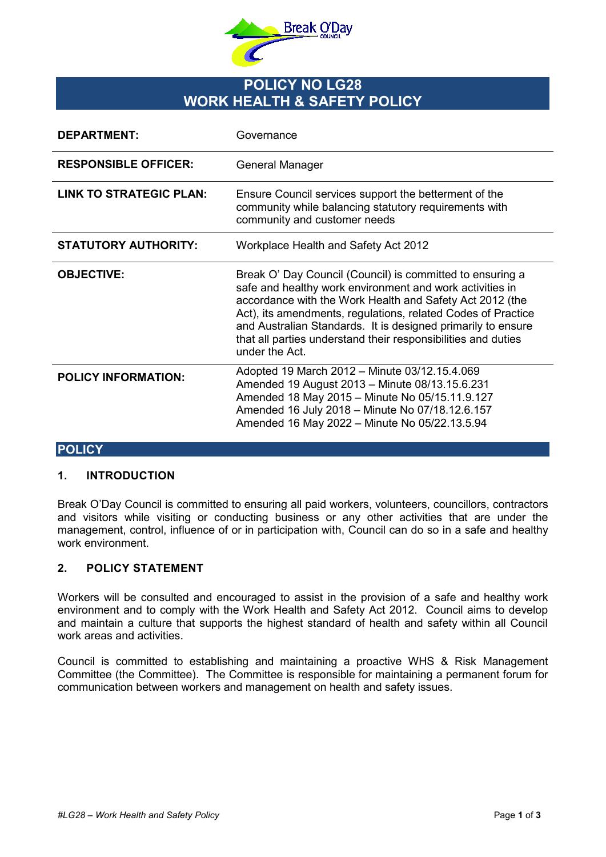

# **POLICY NO LG28 WORK HEALTH & SAFETY POLICY**

| <b>DEPARTMENT:</b>             | Governance                                                                                                                                                                                                                                                                                                                                                                                           |
|--------------------------------|------------------------------------------------------------------------------------------------------------------------------------------------------------------------------------------------------------------------------------------------------------------------------------------------------------------------------------------------------------------------------------------------------|
| <b>RESPONSIBLE OFFICER:</b>    | General Manager                                                                                                                                                                                                                                                                                                                                                                                      |
| <b>LINK TO STRATEGIC PLAN:</b> | Ensure Council services support the betterment of the<br>community while balancing statutory requirements with<br>community and customer needs                                                                                                                                                                                                                                                       |
| <b>STATUTORY AUTHORITY:</b>    | Workplace Health and Safety Act 2012                                                                                                                                                                                                                                                                                                                                                                 |
| <b>OBJECTIVE:</b>              | Break O' Day Council (Council) is committed to ensuring a<br>safe and healthy work environment and work activities in<br>accordance with the Work Health and Safety Act 2012 (the<br>Act), its amendments, regulations, related Codes of Practice<br>and Australian Standards. It is designed primarily to ensure<br>that all parties understand their responsibilities and duties<br>under the Act. |
| <b>POLICY INFORMATION:</b>     | Adopted 19 March 2012 - Minute 03/12.15.4.069<br>Amended 19 August 2013 - Minute 08/13.15.6.231<br>Amended 18 May 2015 - Minute No 05/15.11.9.127<br>Amended 16 July 2018 - Minute No 07/18.12.6.157<br>Amended 16 May 2022 - Minute No 05/22.13.5.94                                                                                                                                                |

## **POLICY**

#### **1. INTRODUCTION**

Break O'Day Council is committed to ensuring all paid workers, volunteers, councillors, contractors and visitors while visiting or conducting business or any other activities that are under the management, control, influence of or in participation with, Council can do so in a safe and healthy work environment.

#### **2. POLICY STATEMENT**

Workers will be consulted and encouraged to assist in the provision of a safe and healthy work environment and to comply with the Work Health and Safety Act 2012. Council aims to develop and maintain a culture that supports the highest standard of health and safety within all Council work areas and activities.

Council is committed to establishing and maintaining a proactive WHS & Risk Management Committee (the Committee). The Committee is responsible for maintaining a permanent forum for communication between workers and management on health and safety issues.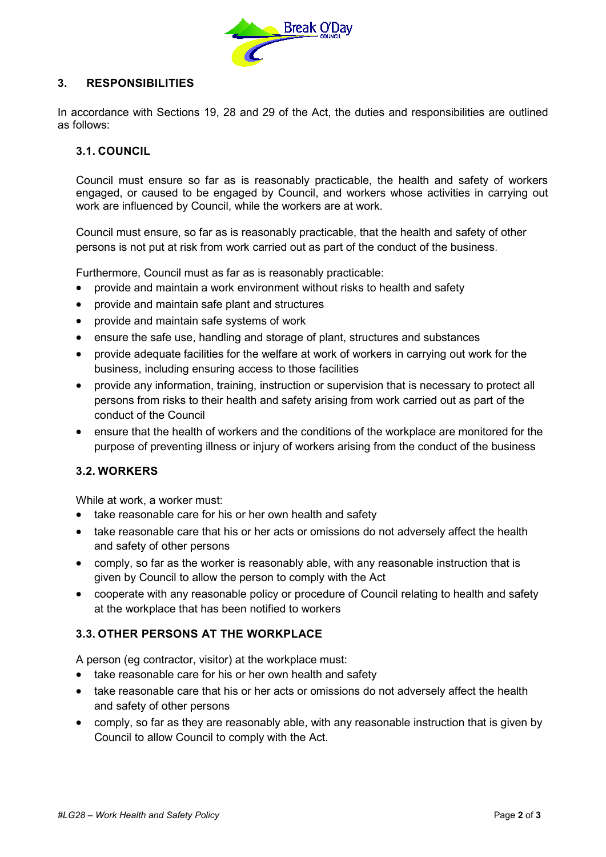

## **3. RESPONSIBILITIES**

In accordance with Sections 19, 28 and 29 of the Act, the duties and responsibilities are outlined as follows:

#### **3.1. COUNCIL**

Council must ensure so far as is reasonably practicable, the health and safety of workers engaged, or caused to be engaged by Council, and workers whose activities in carrying out work are influenced by Council, while the workers are at work.

Council must ensure, so far as is reasonably practicable, that the health and safety of other persons is not put at risk from work carried out as part of the conduct of the business.

Furthermore, Council must as far as is reasonably practicable:

- provide and maintain a work environment without risks to health and safety
- provide and maintain safe plant and structures
- provide and maintain safe systems of work
- ensure the safe use, handling and storage of plant, structures and substances
- provide adequate facilities for the welfare at work of workers in carrying out work for the business, including ensuring access to those facilities
- provide any information, training, instruction or supervision that is necessary to protect all persons from risks to their health and safety arising from work carried out as part of the conduct of the Council
- ensure that the health of workers and the conditions of the workplace are monitored for the purpose of preventing illness or injury of workers arising from the conduct of the business

#### **3.2. WORKERS**

While at work, a worker must:

- take reasonable care for his or her own health and safety
- take reasonable care that his or her acts or omissions do not adversely affect the health and safety of other persons
- comply, so far as the worker is reasonably able, with any reasonable instruction that is given by Council to allow the person to comply with the Act
- cooperate with any reasonable policy or procedure of Council relating to health and safety at the workplace that has been notified to workers

#### **3.3. OTHER PERSONS AT THE WORKPLACE**

A person (eg contractor, visitor) at the workplace must:

- take reasonable care for his or her own health and safety
- take reasonable care that his or her acts or omissions do not adversely affect the health and safety of other persons
- comply, so far as they are reasonably able, with any reasonable instruction that is given by Council to allow Council to comply with the Act.